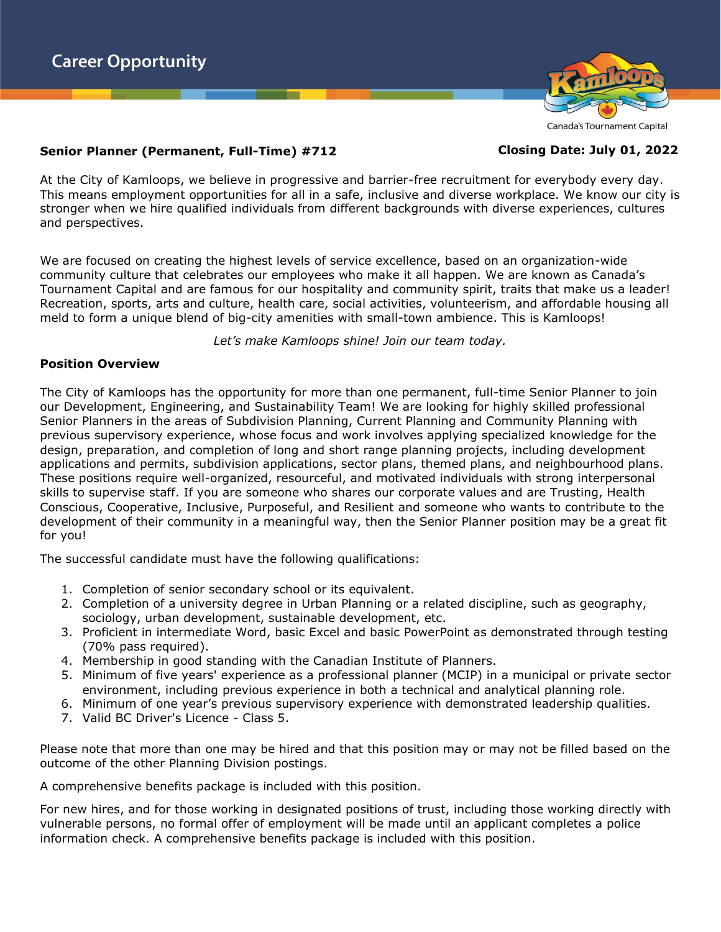

#### Canada's Tournament Capital

# **Senior Planner (Permanent, Full-Time) #712 Closing Date: July 01, 2022**

At the City of Kamloops, we believe in progressive and barrier-free recruitment for everybody every day. This means employment opportunities for all in a safe, inclusive and diverse workplace. We know our city is stronger when we hire qualified individuals from different backgrounds with diverse experiences, cultures and perspectives.

We are focused on creating the highest levels of service excellence, based on an organization-wide community culture that celebrates our employees who make it all happen. We are known as Canada's Tournament Capital and are famous for our hospitality and community spirit, traits that make us a leader! Recreation, sports, arts and culture, health care, social activities, volunteerism, and affordable housing all meld to form a unique blend of big-city amenities with small-town ambience. This is Kamloops!

*Let's make Kamloops shine! Join our team today.*

#### **Position Overview**

The City of Kamloops has the opportunity for more than one permanent, full-time Senior Planner to join our Development, Engineering, and Sustainability Team! We are looking for highly skilled professional Senior Planners in the areas of Subdivision Planning, Current Planning and Community Planning with previous supervisory experience, whose focus and work involves applying specialized knowledge for the design, preparation, and completion of long and short range planning projects, including development applications and permits, subdivision applications, sector plans, themed plans, and neighbourhood plans. These positions require well-organized, resourceful, and motivated individuals with strong interpersonal skills to supervise staff. If you are someone who shares our corporate values and are Trusting, Health Conscious, Cooperative, Inclusive, Purposeful, and Resilient and someone who wants to contribute to the development of their community in a meaningful way, then the Senior Planner position may be a great fit for you!

The successful candidate must have the following qualifications:

- 1. Completion of senior secondary school or its equivalent.
- 2. Completion of a university degree in Urban Planning or a related discipline, such as geography, sociology, urban development, sustainable development, etc.
- 3. Proficient in intermediate Word, basic Excel and basic PowerPoint as demonstrated through testing (70% pass required).
- 4. Membership in good standing with the Canadian Institute of Planners.
- 5. Minimum of five years' experience as a professional planner (MCIP) in a municipal or private sector environment, including previous experience in both a technical and analytical planning role.
- 6. Minimum of one year's previous supervisory experience with demonstrated leadership qualities.
- 7. Valid BC Driver's Licence Class 5.

Please note that more than one may be hired and that this position may or may not be filled based on the outcome of the other Planning Division postings.

A comprehensive benefits package is included with this position.

For new hires, and for those working in designated positions of trust, including those working directly with vulnerable persons, no formal offer of employment will be made until an applicant completes a police information check. A comprehensive benefits package is included with this position.